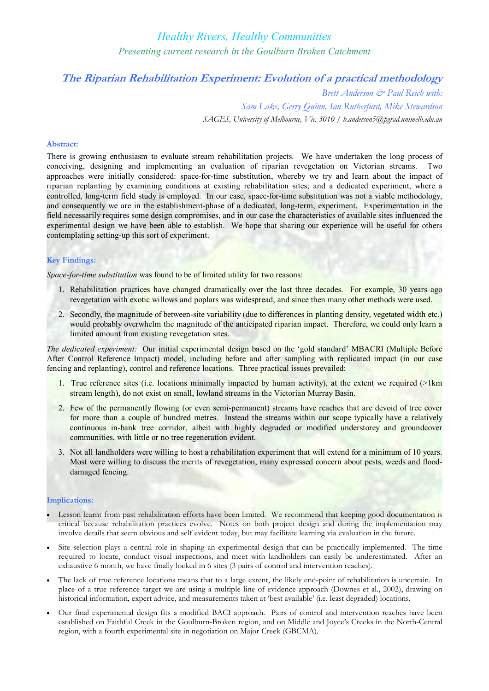# *Healthy Rivers, Healthy Communities Presenting current research in the Goulburn Broken Catchment*

## **The Riparian Rehabilitation Experiment: Evolution of a practical methodology**

*Brett Anderson & Paul Reich with: Sam Lake, Gerry Quinn, Ian Rutherfurd, Mike Stewardson SAGES, University of Melbourne, Vic. 3010 / b.anderson5@pgrad.unimelb.edu.au*

## **Abstract:**

There is growing enthusiasm to evaluate stream rehabilitation projects. We have undertaken the long process of conceiving, designing and implementing an evaluation of riparian revegetation on Victorian streams. Two approaches were initially considered: space-for-time substitution, whereby we try and learn about the impact of riparian replanting by examining conditions at existing rehabilitation sites; and a dedicated experiment, where a controlled, long-term field study is employed. In our case, space-for-time substitution was not a viable methodology, and consequently we are in the establishment-phase of a dedicated, long-term, experiment. Experimentation in the field necessarily requires some design compromises, and in our case the characteristics of available sites influenced the experimental design we have been able to establish. We hope that sharing our experience will be useful for others contemplating setting-up this sort of experiment.

## **Key Findings:**

*Space-for-time substitution* was found to be of limited utility for two reasons:

- 1. Rehabilitation practices have changed dramatically over the last three decades. For example, 30 years ago revegetation with exotic willows and poplars was widespread, and since then many other methods were used.
- 2. Secondly, the magnitude of between-site variability (due to differences in planting density, vegetated width etc.) would probably overwhelm the magnitude of the anticipated riparian impact. Therefore, we could only learn a limited amount from existing revegetation sites.

*The dedicated experiment:* Our initial experimental design based on the 'gold standard' MBACRI (Multiple Before After Control Reference Impact) model, including before and after sampling with replicated impact (in our case fencing and replanting), control and reference locations. Three practical issues prevailed:

- 1. True reference sites (i.e. locations minimally impacted by human activity), at the extent we required (>1km stream length), do not exist on small, lowland streams in the Victorian Murray Basin.
- 2. Few of the permanently flowing (or even semi-permanent) streams have reaches that are devoid of tree cover for more than a couple of hundred metres. Instead the streams within our scope typically have a relatively continuous in-bank tree corridor, albeit with highly degraded or modified understorey and groundcover communities, with little or no tree regeneration evident.
- 3. Not all landholders were willing to host a rehabilitation experiment that will extend for a minimum of 10 years. Most were willing to discuss the merits of revegetation, many expressed concern about pests, weeds and flood damaged fencing.

### **Implications:**

- Lesson learnt from past rehabilitation efforts have been limited. We recommend that keeping good documentation is critical because rehabilitation practices evolve. Notes on both project design and during the implementation may involve details that seem obvious and self evident today, but may facilitate learning via evaluation in the future.
- Site selection plays a central role in shaping an experimental design that can be practically implemented. The time required to locate, conduct visual inspections, and meet with landholders can easily be underestimated. After an exhaustive 6 month, we have finally locked in 6 sites (3 pairs of control and intervention reaches).
- The lack of true reference locations means that to a large extent, the likely end-point of rehabilitation is uncertain. In place of a true reference target we are using a multiple line of evidence approach (Downes et al., 2002), drawing on historical information, expert advice, and measurements taken at 'best available' (i.e. least degraded) locations.
- · Our final experimental design fits a modified BACI approach. Pairs of control and intervention reaches have been established on Faithful Creek in the Goulburn-Broken region, and on Middle and Joyce's Creeks in the North-Central region, with a fourth experimental site in negotiation on Major Creek (GBCMA).